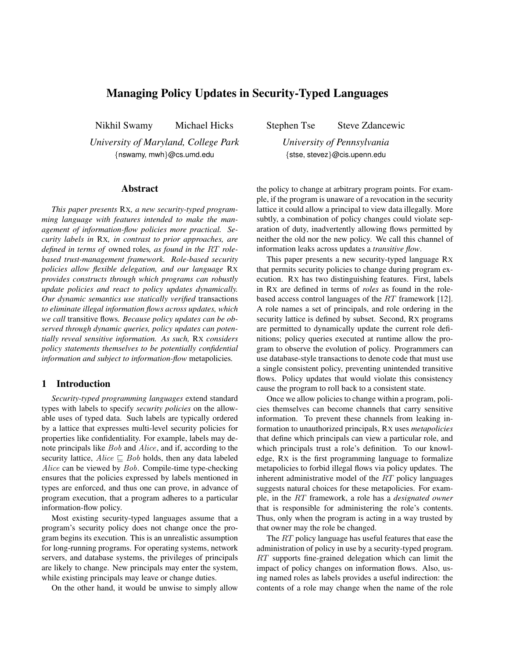# Managing Policy Updates in Security-Typed Languages

Nikhil Swamy Michael Hicks

*University of Maryland, College Park* {nswamy, mwh}@cs.umd.edu

### Abstract

*This paper presents* RX*, a new security-typed programming language with features intended to make the management of information-flow policies more practical. Security labels in* RX*, in contrast to prior approaches, are defined in terms of* owned roles*, as found in the* RT *rolebased trust-management framework. Role-based security policies allow flexible delegation, and our language* RX *provides constructs through which programs can robustly update policies and react to policy updates dynamically. Our dynamic semantics use statically verified* transactions *to eliminate illegal information flows across updates, which we call* transitive flows*. Because policy updates can be observed through dynamic queries, policy updates can potentially reveal sensitive information. As such,* RX *considers policy statements themselves to be potentially confidential information and subject to information-flow* metapolicies*.*

## 1 Introduction

*Security-typed programming languages* extend standard types with labels to specify *security policies* on the allowable uses of typed data. Such labels are typically ordered by a lattice that expresses multi-level security policies for properties like confidentiality. For example, labels may denote principals like Bob and Alice, and if, according to the security lattice,  $Alice \sqsubseteq Bob$  holds, then any data labeled Alice can be viewed by Bob. Compile-time type-checking ensures that the policies expressed by labels mentioned in types are enforced, and thus one can prove, in advance of program execution, that a program adheres to a particular information-flow policy.

Most existing security-typed languages assume that a program's security policy does not change once the program begins its execution. This is an unrealistic assumption for long-running programs. For operating systems, network servers, and database systems, the privileges of principals are likely to change. New principals may enter the system, while existing principals may leave or change duties.

On the other hand, it would be unwise to simply allow

Stephen Tse Steve Zdancewic

*University of Pennsylvania* {stse, stevez}@cis.upenn.edu

the policy to change at arbitrary program points. For example, if the program is unaware of a revocation in the security lattice it could allow a principal to view data illegally. More subtly, a combination of policy changes could violate separation of duty, inadvertently allowing flows permitted by neither the old nor the new policy. We call this channel of information leaks across updates a *transitive flow*.

This paper presents a new security-typed language RX that permits security policies to change during program execution. RX has two distinguishing features. First, labels in RX are defined in terms of *roles* as found in the rolebased access control languages of the RT framework [12]. A role names a set of principals, and role ordering in the security lattice is defined by subset. Second, RX programs are permitted to dynamically update the current role definitions; policy queries executed at runtime allow the program to observe the evolution of policy. Programmers can use database-style transactions to denote code that must use a single consistent policy, preventing unintended transitive flows. Policy updates that would violate this consistency cause the program to roll back to a consistent state.

Once we allow policies to change within a program, policies themselves can become channels that carry sensitive information. To prevent these channels from leaking information to unauthorized principals, RX uses *metapolicies* that define which principals can view a particular role, and which principals trust a role's definition. To our knowledge, RX is the first programming language to formalize metapolicies to forbid illegal flows via policy updates. The inherent administrative model of the RT policy languages suggests natural choices for these metapolicies. For example, in the RT framework, a role has a *designated owner* that is responsible for administering the role's contents. Thus, only when the program is acting in a way trusted by that owner may the role be changed.

The RT policy language has useful features that ease the administration of policy in use by a security-typed program. RT supports fine-grained delegation which can limit the impact of policy changes on information flows. Also, using named roles as labels provides a useful indirection: the contents of a role may change when the name of the role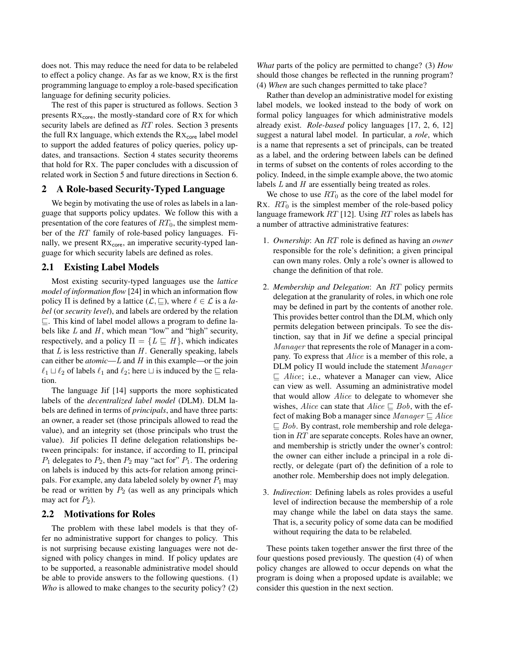does not. This may reduce the need for data to be relabeled to effect a policy change. As far as we know, RX is the first programming language to employ a role-based specification language for defining security policies.

The rest of this paper is structured as follows. Section 3 presents  $Rx_{core}$ , the mostly-standard core of Rx for which security labels are defined as RT roles. Section 3 presents the full Rx language, which extends the  $Rx_{core}$  label model to support the added features of policy queries, policy updates, and transactions. Section 4 states security theorems that hold for RX. The paper concludes with a discussion of related work in Section 5 and future directions in Section 6.

## 2 A Role-based Security-Typed Language

We begin by motivating the use of roles as labels in a language that supports policy updates. We follow this with a presentation of the core features of  $RT_0$ , the simplest member of the RT family of role-based policy languages. Finally, we present  $Rx_{\text{core}}$ , an imperative security-typed language for which security labels are defined as roles.

## 2.1 Existing Label Models

Most existing security-typed languages use the *lattice model of information flow* [24] in which an information flow policy  $\Pi$  is defined by a lattice  $(\mathcal{L}, \sqsubseteq)$ , where  $\ell \in \mathcal{L}$  is a *label* (or *security level*), and labels are ordered by the relation  $\sqsubseteq$ . This kind of label model allows a program to define labels like  $L$  and  $H$ , which mean "low" and "high" security, respectively, and a policy  $\Pi = \{L \sqsubseteq H\}$ , which indicates that  $L$  is less restrictive than  $H$ . Generally speaking, labels can either be *atomic*—L and H in this example—or the join  $\ell_1 \sqcup \ell_2$  of labels  $\ell_1$  and  $\ell_2$ ; here  $\sqcup$  is induced by the  $\sqsubseteq$  relation.

The language Jif [14] supports the more sophisticated labels of the *decentralized label model* (DLM). DLM labels are defined in terms of *principals*, and have three parts: an owner, a reader set (those principals allowed to read the value), and an integrity set (those principals who trust the value). Jif policies Π define delegation relationships between principals: for instance, if according to Π, principal  $P_1$  delegates to  $P_2$ , then  $P_2$  may "act for"  $P_1$ . The ordering on labels is induced by this acts-for relation among principals. For example, any data labeled solely by owner  $P_1$  may be read or written by  $P_2$  (as well as any principals which may act for  $P_2$ ).

#### 2.2 Motivations for Roles

The problem with these label models is that they offer no administrative support for changes to policy. This is not surprising because existing languages were not designed with policy changes in mind. If policy updates are to be supported, a reasonable administrative model should be able to provide answers to the following questions. (1) *Who* is allowed to make changes to the security policy? (2)

*What* parts of the policy are permitted to change? (3) *How* should those changes be reflected in the running program? (4) *When* are such changes permitted to take place?

Rather than develop an administrative model for existing label models, we looked instead to the body of work on formal policy languages for which administrative models already exist. *Role-based* policy languages [17, 2, 6, 12] suggest a natural label model. In particular, a *role*, which is a name that represents a set of principals, can be treated as a label, and the ordering between labels can be defined in terms of subset on the contents of roles according to the policy. Indeed, in the simple example above, the two atomic labels L and H are essentially being treated as roles.

We chose to use  $RT_0$  as the core of the label model for RX.  $RT_0$  is the simplest member of the role-based policy language framework  $RT$  [12]. Using  $RT$  roles as labels has a number of attractive administrative features:

- 1. *Ownership*: An RT role is defined as having an *owner* responsible for the role's definition; a given principal can own many roles. Only a role's owner is allowed to change the definition of that role.
- 2. *Membership and Delegation*: An RT policy permits delegation at the granularity of roles, in which one role may be defined in part by the contents of another role. This provides better control than the DLM, which only permits delegation between principals. To see the distinction, say that in Jif we define a special principal Manager that represents the role of Manager in a company. To express that Alice is a member of this role, a DLM policy Π would include the statement Manager  $\sqsubseteq$  Alice; i.e., whatever a Manager can view, Alice can view as well. Assuming an administrative model that would allow Alice to delegate to whomever she wishes, Alice can state that  $Alice \sqsubseteq Bob$ , with the effect of making Bob a manager since  $Manager \sqsubseteq Alice$  $\Box$  Bob. By contrast, role membership and role delegation in RT are separate concepts. Roles have an owner, and membership is strictly under the owner's control: the owner can either include a principal in a role directly, or delegate (part of) the definition of a role to another role. Membership does not imply delegation.
- 3. *Indirection*: Defining labels as roles provides a useful level of indirection because the membership of a role may change while the label on data stays the same. That is, a security policy of some data can be modified without requiring the data to be relabeled.

These points taken together answer the first three of the four questions posed previously. The question (4) of when policy changes are allowed to occur depends on what the program is doing when a proposed update is available; we consider this question in the next section.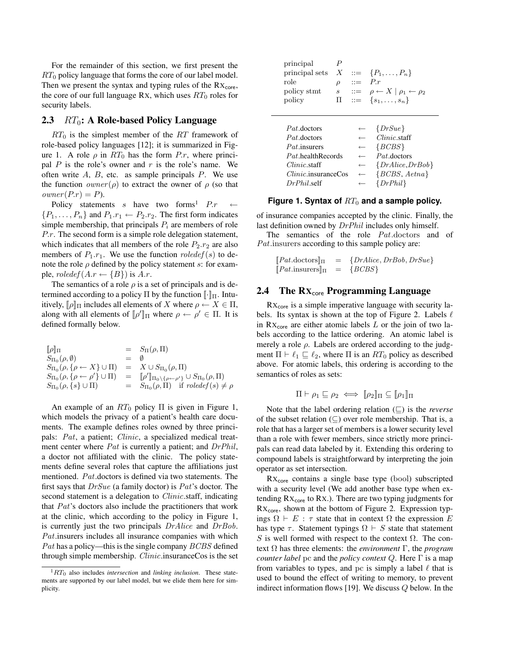For the remainder of this section, we first present the  $RT_0$  policy language that forms the core of our label model. Then we present the syntax and typing rules of the  $Rx<sub>core</sub>$ , the core of our full language Rx, which uses  $RT_0$  roles for security labels.

## 2.3  $RT_0$ : A Role-based Policy Language

 $RT_0$  is the simplest member of the RT framework of role-based policy languages [12]; it is summarized in Figure 1. A role  $\rho$  in  $RT_0$  has the form P.r, where principal  $P$  is the role's owner and  $r$  is the role's name. We often write  $A$ ,  $B$ , etc. as sample principals  $P$ . We use the function  $\text{owner}(\rho)$  to extract the owner of  $\rho$  (so that  $\textit{owner}(P.r) = P$ .

Policy statements s have two forms<sup>1</sup>  $P.r$  $\{P_1, \ldots, P_n\}$  and  $P_1.r_1 \leftarrow P_2.r_2$ . The first form indicates simple membership, that principals  $P_i$  are members of role P.r. The second form is a simple role delegation statement, which indicates that all members of the role  $P_2.r_2$  are also members of  $P_1.r_1$ . We use the function  $roledef(s)$  to denote the role  $\rho$  defined by the policy statement s: for example,  $roledef(A.r \leftarrow \{B\})$  is A.r.

The semantics of a role  $\rho$  is a set of principals and is determined according to a policy  $\Pi$  by the function  $\llbracket \cdot \rrbracket$ . Intuitively,  $[\![\rho]\!]$  $[\![\Pi]$  includes all elements of X where  $\rho \leftarrow X \in \Pi$ , along with all elements of  $[\![\rho']\!]_\Pi$  where  $\rho \leftarrow \rho' \in \Pi$ . It is defined formally below.

| $[\![\rho]\!]_\Pi$                                    |       | $= S_{\Pi}(\rho, \Pi)$                                                                              |
|-------------------------------------------------------|-------|-----------------------------------------------------------------------------------------------------|
| $S_{\Pi_0}(\rho,\emptyset)$                           | $=$ 0 |                                                                                                     |
| $S_{\Pi_0}(\rho, \{\rho \leftarrow X\} \cup \Pi)$     |       | $= X \cup S_{\Pi_0}(\rho, \Pi)$                                                                     |
| $S_{\Pi_0}(\rho, \{\rho \leftarrow \rho'\} \cup \Pi)$ |       | $= \llbracket \rho' \rrbracket_{\Pi_0 \setminus {\rho \leftarrow \rho'}} \cup S_{\Pi_0}(\rho, \Pi)$ |
| $S_{\Pi_0}(\rho, \{s\} \cup \Pi)$                     |       | $= S_{\Pi_0}(\rho, \Pi)$ if $roledef(s) \neq \rho$                                                  |
|                                                       |       |                                                                                                     |

An example of an  $RT_0$  policy  $\Pi$  is given in Figure 1, which models the privacy of a patient's health care documents. The example defines roles owned by three principals: Pat, a patient; Clinic, a specialized medical treatment center where  $Pat$  is currently a patient; and  $DrPhil$ , a doctor not affiliated with the clinic. The policy statements define several roles that capture the affiliations just mentioned. Pat.doctors is defined via two statements. The first says that  $DrSue$  (a family doctor) is  $Pat$ 's doctor. The second statement is a delegation to *Clinic*.staff, indicating that Pat's doctors also include the practitioners that work at the clinic, which according to the policy in Figure 1, is currently just the two principals DrAlice and DrBob. Pat.insurers includes all insurance companies with which Pat has a policy—this is the single company  $BCBS$  defined through simple membership. Clinic.insuranceCos is the set

| principal<br>principal sets<br>role<br>policy stmt<br>policy | Р<br>$\boldsymbol{X}$<br>$\rho$<br>$\mathcal{S}^-$<br>П | $::=$<br>$\therefore =$ | $ ::= \{P_1, \ldots, P_n\}$<br>P.r<br>$ ::= \rho \leftarrow X   \rho_1 \leftarrow \rho_2$<br>$\{s_1,\ldots,s_n\}$ |
|--------------------------------------------------------------|---------------------------------------------------------|-------------------------|-------------------------------------------------------------------------------------------------------------------|
|                                                              |                                                         |                         |                                                                                                                   |
| <i>Pat.doctors</i>                                           |                                                         |                         | $\{DrSue\}$                                                                                                       |
| <i>Pat.doctors</i>                                           |                                                         | $\leftarrow$            | $Clinic$ staff                                                                                                    |
| <i>Pat</i> insurers                                          |                                                         | $\leftarrow$            | ${BCBS}$                                                                                                          |
| Pat.healthRecords                                            |                                                         | $\leftarrow$            | $Pat$ .doctors                                                                                                    |
| <i>Clinic</i> .staff                                         |                                                         | $\longleftarrow$        | ${DrAlice, DrBob}$                                                                                                |
| $Clinic$ , insurance Cos                                     |                                                         | $\leftarrow$            | ${BCBS, Aetna}$                                                                                                   |
| DrPhil self                                                  |                                                         | $\leftarrow$            | $\{DrPhil\}$                                                                                                      |

## Figure 1. Syntax of  $RT_0$  and a sample policy.

of insurance companies accepted by the clinic. Finally, the last definition owned by  $DrPhil$  includes only himself.

The semantics of the role  $Pat.doctors$  and of Pat. insurers according to this sample policy are:

$$
[Pat.doctors]_{\Pi} = \{DrAlice, DrBob, DrSue\}
$$
  

$$
[Pat.insures]_{\Pi} = \{BCBS\}
$$

## 2.4 The  $Rx_{core}$  Programming Language

 $Rx<sub>core</sub>$  is a simple imperative language with security labels. Its syntax is shown at the top of Figure 2. Labels  $\ell$ in  $Rx_{core}$  are either atomic labels  $L$  or the join of two labels according to the lattice ordering. An atomic label is merely a role  $\rho$ . Labels are ordered according to the judgment  $\Pi \vdash \ell_1 \sqsubseteq \ell_2$ , where  $\Pi$  is an  $RT_0$  policy as described above. For atomic labels, this ordering is according to the semantics of roles as sets:

$$
\Pi \vdash \rho_1 \sqsubseteq \rho_2 \iff [\![\rho_2]\!]_\Pi \subseteq [\![\rho_1]\!]_\Pi
$$

Note that the label ordering relation  $(\sqsubseteq)$  is the *reverse* of the subset relation  $(\subseteq)$  over role membership. That is, a role that has a larger set of members is a lower security level than a role with fewer members, since strictly more principals can read data labeled by it. Extending this ordering to compound labels is straightforward by interpreting the join operator as set intersection.

 $Rx_{core}$  contains a single base type (bool) subscripted with a security level (We add another base type when extending  $Rx_{core}$  to  $Rx$ .). There are two typing judgments for  $Rx<sub>core</sub>$ , shown at the bottom of Figure 2. Expression typings  $\Omega \vdash E : \tau$  state that in context  $\Omega$  the expression E has type  $\tau$ . Statement typings  $\Omega \vdash S$  state that statement S is well formed with respect to the context  $\Omega$ . The context Ω has three elements: the *environment* Γ, the *program counter label* pc and the *policy context* Q. Here Γ is a map from variables to types, and pc is simply a label  $\ell$  that is used to bound the effect of writing to memory, to prevent indirect information flows [19]. We discuss Q below. In the

 $1RT_0$  also includes *intersection* and *linking inclusion*. These statements are supported by our label model, but we elide them here for simplicity.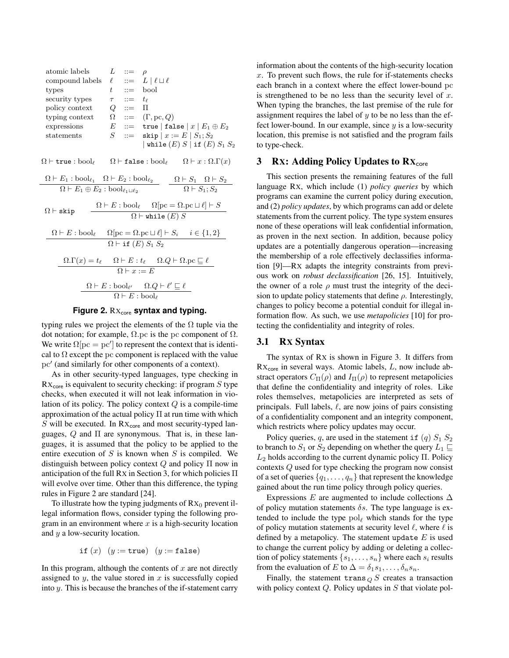atomic labels 
$$
L ::= \rho
$$
  
\ncompound labels  $\ell ::= L | \ell \sqcup \ell$   
\ntypes  $t ::= \text{bool}$   
\nsecurity types  $\tau ::= t_{\ell}$   
\npolicy context  $Q ::= \Pi$   
\ntyping context  $\Omega ::= (\Gamma, pc, Q)$   
\nexpressions  $E ::= \text{true} | \text{false} | x | E_1 \oplus E_2$   
\nstatements  $S ::= \text{skip} | x := E | S_1; S_2$   
\n $| \text{while } (E) S | \text{if } (E) S_1 S_2$   
\n $\Omega \vdash \text{true} : \text{bool}_{\ell}$   $\Omega \vdash \text{false} : \text{bool}_{\ell}$   $\Omega \vdash x : \Omega.\Gamma(x)$   
\n $\Omega \vdash E_1 : \text{bool}_{\ell_1}$   $\Omega \vdash E_2 : \text{bool}_{\ell_2}$   $\Omega \vdash S_1$   $\Omega \vdash S_2$   
\n $\Omega \vdash E_1 \oplus E_2 : \text{bool}_{\ell_1 \sqcup \ell_2}$   $\Omega \vdash S_1$   $\Omega \vdash S_2$   
\n $\Omega \vdash \text{skip} \Omega \vdash E : \text{bool}_{\ell}$   $\Omega[\text{pc} = \Omega.\text{pc} \sqcup \ell] \vdash S$   
\n $\Omega \vdash E : \text{bool}_{\ell}$   $\Omega[\text{pc} = \Omega.\text{pc} \sqcup \ell] \vdash S_i$   $i \in \{1, 2\}$   
\n $\Omega \vdash E : \text{bool}_{\ell}$   $\Omega \vdash E : t_{\ell}$   $\Omega.\text{Q} \vdash \Omega.\text{pc} \sqsubseteq \ell$   
\n $\Omega \vdash E : \text{bool}_{\ell'}$   $\Omega.\text{Q} \vdash \ell$   
\n $\Omega \vdash E : \text{bool}_{\ell'}$   $\Omega.\text{Q} \vdash \ell'$   
\n $\Omega \vdash E : \text{bool}_{\ell'}$   $\Omega.\text{Q} \vdash \ell'$   
\n $\Omega \vdash E : \text{bool}_{\ell'}$ 

### Figure 2. Rx<sub>core</sub> syntax and typing.

typing rules we project the elements of the  $\Omega$  tuple via the dot notation; for example,  $Ω$ , pc is the pc component of  $Ω$ . We write  $\Omega[\text{pc} = \text{pc}']$  to represent the context that is identical to  $\Omega$  except the pc component is replaced with the value pc' (and similarly for other components of a context).

As in other security-typed languages, type checking in  $Rx<sub>core</sub>$  is equivalent to security checking: if program S type checks, when executed it will not leak information in violation of its policy. The policy context  $Q$  is a compile-time approximation of the actual policy Π at run time with which  $S$  will be executed. In  $Rx_{core}$  and most security-typed languages,  $Q$  and  $\Pi$  are synonymous. That is, in these languages, it is assumed that the policy to be applied to the entire execution of  $S$  is known when  $S$  is compiled. We distinguish between policy context  $Q$  and policy  $\Pi$  now in anticipation of the full RX in Section 3, for which policies Π will evolve over time. Other than this difference, the typing rules in Figure 2 are standard [24].

To illustrate how the typing judgments of  $Rx_0$  prevent illegal information flows, consider typing the following program in an environment where  $x$  is a high-security location and y a low-security location.

$$
\mathtt{if}\ (x)\ \ (y := \mathtt{true})\ \ (y := \mathtt{false})
$$

In this program, although the contents of  $x$  are not directly assigned to  $y$ , the value stored in  $x$  is successfully copied into y. This is because the branches of the if-statement carry information about the contents of the high-security location  $x$ . To prevent such flows, the rule for if-statements checks each branch in a context where the effect lower-bound pc is strengthened to be no less than the security level of  $x$ . When typing the branches, the last premise of the rule for assignment requires the label of  $y$  to be no less than the effect lower-bound. In our example, since  $y$  is a low-security location, this premise is not satisfied and the program fails to type-check.

### 3 Rx: Adding Policy Updates to  $\mathbf{R} \mathbf{X}_{\text{core}}$

This section presents the remaining features of the full language RX, which include (1) *policy queries* by which programs can examine the current policy during execution, and (2) *policy updates*, by which programs can add or delete statements from the current policy. The type system ensures none of these operations will leak confidential information, as proven in the next section. In addition, because policy updates are a potentially dangerous operation—increasing the membership of a role effectively declassifies information [9]—RX adapts the integrity constraints from previous work on *robust declassification* [26, 15]. Intuitively, the owner of a role  $\rho$  must trust the integrity of the decision to update policy statements that define  $\rho$ . Interestingly, changes to policy become a potential conduit for illegal information flow. As such, we use *metapolicies* [10] for protecting the confidentiality and integrity of roles.

## 3.1 RX Syntax

The syntax of RX is shown in Figure 3. It differs from  $Rx<sub>core</sub>$  in several ways. Atomic labels,  $L$ , now include abstract operators  $C_{\Pi}(\rho)$  and  $I_{\Pi}(\rho)$  to represent metapolicies that define the confidentiality and integrity of roles. Like roles themselves, metapolicies are interpreted as sets of principals. Full labels,  $\ell$ , are now joins of pairs consisting of a confidentiality component and an integrity component, which restricts where policy updates may occur.

Policy queries, q, are used in the statement if  $(q)$   $S_1$   $S_2$ to branch to  $S_1$  or  $S_2$  depending on whether the query  $L_1 \sqsubseteq$  $L_2$  holds according to the current dynamic policy Π. Policy contexts Q used for type checking the program now consist of a set of queries  $\{q_1, \ldots, q_n\}$  that represent the knowledge gained about the run time policy through policy queries.

Expressions E are augmented to include collections  $\Delta$ of policy mutation statements  $\delta s$ . The type language is extended to include the type  $pol<sub>\ell</sub>$  which stands for the type of policy mutation statements at security level  $\ell$ , where  $\ell$  is defined by a metapolicy. The statement update  $E$  is used to change the current policy by adding or deleting a collection of policy statements  $\{s_1, \ldots, s_n\}$  where each  $s_i$  results from the evaluation of E to  $\Delta = \delta_1 s_1, \ldots, \delta_n s_n$ .

Finally, the statement trans  $_{Q}$  S creates a transaction with policy context  $Q$ . Policy updates in  $S$  that violate pol-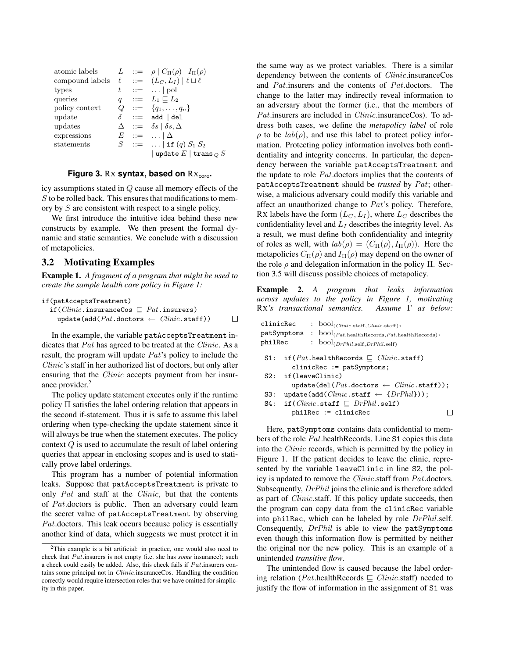| atomic labels                                              |          | $L \quad ::= \quad \rho \mid C_{\Pi}(\rho) \mid I_{\Pi}(\rho)$ |
|------------------------------------------------------------|----------|----------------------------------------------------------------|
| compound labels $\ell$ ::= $(L_C, L_I)   \ell \sqcup \ell$ |          |                                                                |
| types                                                      | t        | $ ::= \dots   \text{pol}$                                      |
| queries                                                    |          | $q \quad ::= \quad L_1 \sqsubset L_2$                          |
| policy context                                             |          | $Q := \{q_1, \ldots, q_n\}$                                    |
| update                                                     | $\delta$ | $ ::=  add   del$                                              |
| updates                                                    |          | $\Delta$ ::= $\delta s \mid \delta s, \Delta$                  |
| expressions                                                |          | $E$ ::= $\Delta$                                               |
| statements                                                 |          | $S$ ::=    if $(q) S_1 S_2$                                    |
|                                                            |          | update $E$   trans $_Q$ $S$                                    |

#### **Figure 3. Rx syntax, based on Rx<sub>core</sub>.**

icy assumptions stated in Q cause all memory effects of the S to be rolled back. This ensures that modifications to memory by S are consistent with respect to a single policy.

We first introduce the intuitive idea behind these new constructs by example. We then present the formal dynamic and static semantics. We conclude with a discussion of metapolicies.

### 3.2 Motivating Examples

Example 1. *A fragment of a program that might be used to create the sample health care policy in Figure 1:*

| if(patAcceptsTreatment)                                       |   |
|---------------------------------------------------------------|---|
| if ( <i>Clinic</i> .insuranceCos $\Box$ <i>Pat</i> .insurers) |   |
| update(add( $Pat$ .doctors $\leftarrow$ $Clinic$ .staff))     | П |

In the example, the variable patAcceptsTreatment indicates that Pat has agreed to be treated at the *Clinic*. As a result, the program will update Pat's policy to include the Clinic's staff in her authorized list of doctors, but only after ensuring that the *Clinic* accepts payment from her insurance provider.<sup>2</sup>

The policy update statement executes only if the runtime policy Π satisfies the label ordering relation that appears in the second if-statement. Thus it is safe to assume this label ordering when type-checking the update statement since it will always be true when the statement executes. The policy context Q is used to accumulate the result of label ordering queries that appear in enclosing scopes and is used to statically prove label orderings.

This program has a number of potential information leaks. Suppose that patAcceptsTreatment is private to only Pat and staff at the Clinic, but that the contents of Pat.doctors is public. Then an adversary could learn the secret value of patAcceptsTreatment by observing Pat.doctors. This leak occurs because policy is essentially another kind of data, which suggests we must protect it in the same way as we protect variables. There is a similar dependency between the contents of Clinic.insuranceCos and Pat.insurers and the contents of Pat.doctors. The change to the latter may indirectly reveal information to an adversary about the former (i.e., that the members of Pat. insurers are included in *Clinic*. insuranceCos). To address both cases, we define the *metapolicy label* of role  $\rho$  to be  $lab(\rho)$ , and use this label to protect policy information. Protecting policy information involves both confidentiality and integrity concerns. In particular, the dependency between the variable patAcceptsTreatment and the update to role Pat.doctors implies that the contents of patAcceptsTreatment should be *trusted* by Pat; otherwise, a malicious adversary could modify this variable and affect an unauthorized change to Pat's policy. Therefore, RX labels have the form  $(L_C, L_I)$ , where  $L_C$  describes the confidentiality level and  $L_I$  describes the integrity level. As a result, we must define both confidentiality and integrity of roles as well, with  $lab(\rho) = (C_{\Pi}(\rho), I_{\Pi}(\rho))$ . Here the metapolicies  $C_{\Pi}(\rho)$  and  $I_{\Pi}(\rho)$  may depend on the owner of the role  $\rho$  and delegation information in the policy  $\Pi$ . Section 3.5 will discuss possible choices of metapolicy.

Example 2. *A program that leaks information across updates to the policy in Figure 1, motivating* RX*'s transactional semantics. Assume* Γ *as below:*

| clinicRec | : $bool_{( \textit{Clinic}.stat, \textit{Clinic}.stat)}$                                           |
|-----------|----------------------------------------------------------------------------------------------------|
|           | $\texttt{patSymptoms}$ : $\text{bool}_{(Pat. \text{health Records}, Pat. \text{health Records})},$ |
| philRec   | : $bool_{(DrPhil. self, DrPhil. self)}$                                                            |
| S1:       | if $(Pat \text{.health}}$ Records $\Box$ $Clinic \text{.staff}$ )<br>$clinicRec := patSymptoms;$   |
| S2:       | if(leaveClinic)<br>$update(det(Pat.doctors \leftarrow \textit{Clinic}.staff));$                    |
| S3:       | $update(add(Clinic.startf \leftarrow \{DrPhil\}))$ ;                                               |
| S4:       | if ( <i>Clinic</i> .staff $\Box$ <i>DrPhil</i> .self)<br>$philRec := clinicRec$                    |

Here, patSymptoms contains data confidential to members of the role Pat.healthRecords. Line S1 copies this data into the Clinic records, which is permitted by the policy in Figure 1. If the patient decides to leave the clinic, represented by the variable leaveClinic in line S2, the policy is updated to remove the Clinic.staff from Pat.doctors. Subsequently, *DrPhil* joins the clinic and is therefore added as part of *Clinic*.staff. If this policy update succeeds, then the program can copy data from the clinicRec variable into philRec, which can be labeled by role DrPhil.self. Consequently, DrPhil is able to view the patSymptoms even though this information flow is permitted by neither the original nor the new policy. This is an example of a unintended *transitive flow*.

The unintended flow is caused because the label ordering relation (*Pat*.healthRecords  $\subseteq$  *Clinic.staff*) needed to justify the flow of information in the assignment of S1 was

<sup>&</sup>lt;sup>2</sup>This example is a bit artificial: in practice, one would also need to check that Pat.insurers is not empty (i.e. she has *some* insurance); such a check could easily be added. Also, this check fails if Pat.insurers contains some principal not in Clinic.insuranceCos. Handling the condition correctly would require intersection roles that we have omitted for simplicity in this paper.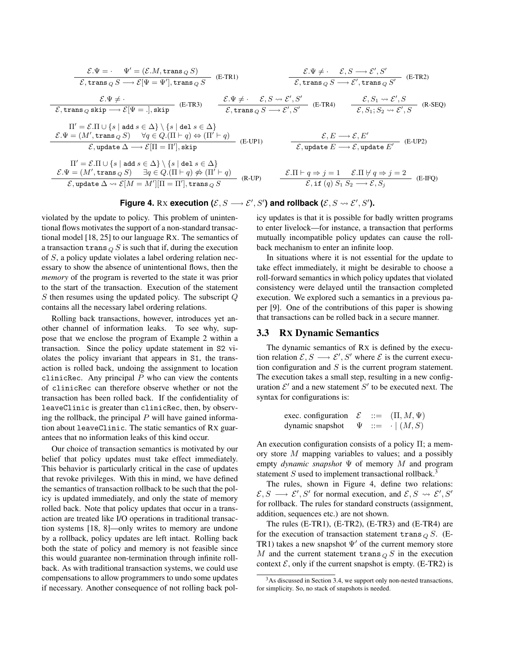$$
\frac{\mathcal{E}.\Psi = \cdot \Psi' = (\mathcal{E}.M, \text{trans}_{Q} S)}{\mathcal{E}, \text{trans}_{Q} S \longrightarrow \mathcal{E}[\Psi = \Psi'], \text{trans}_{Q} S} \quad \frac{\mathcal{E}.\Psi \neq \cdot \mathcal{E}, S \longrightarrow \mathcal{E}', S'}{\mathcal{E}, \text{trans}_{Q} S \longrightarrow \mathcal{E}', \text{trans}_{Q} S'} \quad \text{(E-TR2)}
$$
\n
$$
\frac{\mathcal{E}.\Psi \neq \cdot}{\mathcal{E}, \text{trans}_{Q} \text{ skip} \longrightarrow \mathcal{E}[\Psi = .], \text{skip}} \quad \frac{\mathcal{E}.\Psi \neq \cdot \mathcal{E}, S \leadsto \mathcal{E}', S'}{\mathcal{E}, \text{trans}_{Q} S \longrightarrow \mathcal{E}', S'} \quad \text{(E-TR4)} \quad \frac{\mathcal{E}, S_1 \leadsto \mathcal{E}', S}{\mathcal{E}, S_1; S_2 \leadsto \mathcal{E}', S} \quad \text{(R-SEQ)}
$$
\n
$$
\Pi' = \mathcal{E}.\Pi \cup \{s \mid \text{add } s \in \Delta\} \setminus \{s \mid \text{del } s \in \Delta\}
$$
\n
$$
\mathcal{E}.\Psi = (M', \text{trans}_{Q} S) \quad \forall q \in Q.(\Pi \vdash q) \Leftrightarrow (\Pi' \vdash q) \quad \text{(E-UP1)} \quad \frac{\mathcal{E}, E \longrightarrow \mathcal{E}, E'}{\mathcal{E}, \text{update } E \longrightarrow \mathcal{E}, \text{update } E'} \quad \text{(E-UP2)}
$$
\n
$$
\Pi' = \mathcal{E}.\Pi \cup \{s \mid \text{add } s \in \Delta\} \setminus \{s \mid \text{del } s \in \Delta\}
$$
\n
$$
\mathcal{E}.\Psi = (M', \text{trans}_{Q} S) \quad \exists q \in Q.(\Pi \vdash q) \nleftrightarrow (\Pi' \vdash q) \quad \text{(E-UP1)} \quad \frac{\mathcal{E}.\Pi \vdash q \Rightarrow j = 1 \quad \mathcal{E}.\Pi \nleftrightarrow q \Rightarrow j = 2}{\mathcal{E}, \text{update } \Delta \leadsto \mathcal{E}[M = M'][\Pi = \Pi'], \text{trans}_{Q} S} \quad \text{(R-UP)}
$$

Figure 4. Rx execution 
$$
(\mathcal{E}, S \longrightarrow \mathcal{E}', S')
$$
 and rollback  $(\mathcal{E}, S \rightsquigarrow \mathcal{E}', S')$ .

violated by the update to policy. This problem of unintentional flows motivates the support of a non-standard transactional model [18, 25] to our language RX. The semantics of a transaction trans  $_{Q}$  S is such that if, during the execution of S, a policy update violates a label ordering relation necessary to show the absence of unintentional flows, then the *memory* of the program is reverted to the state it was prior to the start of the transaction. Execution of the statement S then resumes using the updated policy. The subscript Q contains all the necessary label ordering relations.

Rolling back transactions, however, introduces yet another channel of information leaks. To see why, suppose that we enclose the program of Example 2 within a transaction. Since the policy update statement in S2 violates the policy invariant that appears in S1, the transaction is rolled back, undoing the assignment to location clinicRec. Any principal  $P$  who can view the contents of clinicRec can therefore observe whether or not the transaction has been rolled back. If the confidentiality of leaveClinic is greater than clinicRec, then, by observing the rollback, the principal  $P$  will have gained information about leaveClinic. The static semantics of RX guarantees that no information leaks of this kind occur.

Our choice of transaction semantics is motivated by our belief that policy updates must take effect immediately. This behavior is particularly critical in the case of updates that revoke privileges. With this in mind, we have defined the semantics of transaction rollback to be such that the policy is updated immediately, and only the state of memory rolled back. Note that policy updates that occur in a transaction are treated like I/O operations in traditional transaction systems [18, 8]—only writes to memory are undone by a rollback, policy updates are left intact. Rolling back both the state of policy and memory is not feasible since this would guarantee non-termination through infinite rollback. As with traditional transaction systems, we could use compensations to allow programmers to undo some updates if necessary. Another consequence of not rolling back policy updates is that it is possible for badly written programs to enter livelock—for instance, a transaction that performs mutually incompatible policy updates can cause the rollback mechanism to enter an infinite loop.

In situations where it is not essential for the update to take effect immediately, it might be desirable to choose a roll-forward semantics in which policy updates that violated consistency were delayed until the transaction completed execution. We explored such a semantics in a previous paper [9]. One of the contributions of this paper is showing that transactions can be rolled back in a secure manner.

## 3.3 RX Dynamic Semantics

The dynamic semantics of RX is defined by the execution relation  $\mathcal{E}, S \longrightarrow \mathcal{E}', S'$  where  $\mathcal{E}$  is the current execution configuration and  $S$  is the current program statement. The execution takes a small step, resulting in a new configuration  $\mathcal{E}'$  and a new statement  $S'$  to be executed next. The syntax for configurations is:

exec. configuration 
$$
\mathcal{E}
$$
 ::=  $(\Pi, M, \Psi)$   
dynamic snapshot  $\Psi$  ::=  $\cdot | (M, S)$ 

An execution configuration consists of a policy  $\Pi$ ; a memory store M mapping variables to values; and a possibly empty *dynamic snapshot* Ψ of memory M and program statement  $S$  used to implement transactional rollback.<sup>3</sup>

The rules, shown in Figure 4, define two relations:  $\mathcal{E}, S \longrightarrow \mathcal{E}', S'$  for normal execution, and  $\mathcal{E}, S \rightsquigarrow \mathcal{E}', S'$ for rollback. The rules for standard constructs (assignment, addition, sequences etc.) are not shown.

The rules (E-TR1), (E-TR2), (E-TR3) and (E-TR4) are for the execution of transaction statement trans  $_{Q}S$ . (E-TR1) takes a new snapshot  $\Psi'$  of the current memory store M and the current statement trans  $\overline{Q}$  S in the execution context  $\mathcal{E}$ , only if the current snapshot is empty. (E-TR2) is

<sup>&</sup>lt;sup>3</sup>As discussed in Section 3.4, we support only non-nested transactions, for simplicity. So, no stack of snapshots is needed.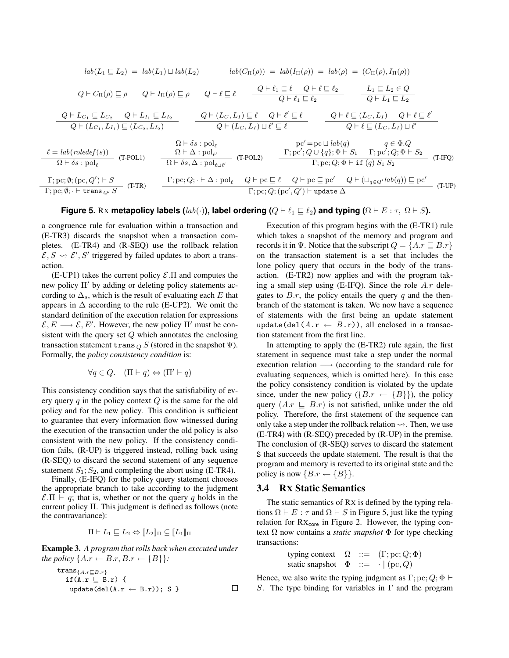$$
lab(L_1 \sqsubseteq L_2) = lab(L_1) \sqcup lab(L_2) \qquad lab(C_{\Pi}(\rho)) = lab(\Pi_{\Pi}(\rho)) = lab(\rho) = (C_{\Pi}(\rho), I_{\Pi}(\rho))
$$
  
\n
$$
Q \vdash C_{\Pi}(\rho) \sqsubseteq \rho \qquad Q \vdash I_{\Pi}(\rho) \sqsubseteq \rho \qquad Q \vdash \ell \sqsubseteq \ell \qquad \frac{Q \vdash \ell_1 \sqsubseteq \ell}{Q \vdash \ell_1 \sqsubseteq \ell_2} \qquad \frac{L_1 \sqsubseteq L_2 \in Q}{Q \vdash L_1 \sqsubseteq L_2}
$$
  
\n
$$
\frac{Q \vdash L_{C_1} \sqsubseteq L_{C_2} \qquad Q \vdash L_{I_1} \sqsubseteq L_{I_2}}{Q \vdash (L_{C_1}, L_{I_1}) \sqsubseteq (L_{C_2}, L_{I_2})} \qquad \frac{Q \vdash (L_C, L_I) \sqsubseteq \ell}{Q \vdash (L_C, L_I) \sqcup \ell' \sqsubseteq \ell} \qquad \frac{Q \vdash \ell \sqsubseteq (L_C, L_I) \qquad Q \vdash \ell \sqsubseteq \ell'}{Q \vdash \ell \sqsubseteq (L_C, L_I) \sqcup \ell'}
$$
  
\n
$$
\frac{R \vdash \delta s : \text{pol}_{\ell}}{R \vdash \delta s : \text{pol}_{\ell}} \qquad \frac{R \vdash \Delta : \text{pol}_{\ell'}}{R \vdash \delta s, \Delta : \text{pol}_{\ell \sqcup \ell'}} \qquad \text{(T-POL2)} \qquad \frac{\Gamma; \text{pc}'; Q \cup \{q\}; \Phi \vdash S_1 \qquad \Gamma; \text{pc}'; Q; \Phi \vdash S_2}{\Gamma; \text{pc}; Q; \Phi \vdash \text{if } (q) S_1 S_2} \qquad \text{(T-FUP)}
$$
  
\n
$$
\frac{\Gamma; \text{pc}; \emptyset; (\text{pc}, Q') \vdash S}{\Gamma; \text{pc}; \emptyset; \vdash \text{trans}_{Q'} S} \qquad \frac{\Gamma; \text{pc}; Q; \vdash \Delta : \text{pol}_{\ell} \qquad Q \vdash \text{pc} \subseteq \ell \qquad Q \vdash \text{pc} \subseteq \text{pc}'}{ \Gamma; \text{pc}; Q; (\text{pc}', Q') \vdash \text{update } \Delta} \qquad \text{(T-UP)}
$$

#### **Figure 5.** Rx **metapolicy labels** ( $lab(\cdot)$ ), label ordering ( $Q \vdash \ell_1 \sqsubseteq \ell_2$ ) and typing ( $\Omega \vdash E : \tau$ ,  $\Omega \vdash S$ ).

a congruence rule for evaluation within a transaction and (E-TR3) discards the snapshot when a transaction completes. (E-TR4) and (R-SEQ) use the rollback relation  $\mathcal{E}, S \rightsquigarrow \mathcal{E}', S'$  triggered by failed updates to abort a transaction.

 $(E-UP1)$  takes the current policy  $\mathcal{E}.\Pi$  and computes the new policy  $\Pi'$  by adding or deleting policy statements according to  $\Delta_s$ , which is the result of evaluating each E that appears in  $\Delta$  according to the rule (E-UP2). We omit the standard definition of the execution relation for expressions  $\mathcal{E}, E \longrightarrow \mathcal{E}, E'$ . However, the new policy  $\Pi'$  must be consistent with the query set  $Q$  which annotates the enclosing transaction statement trans  $_{Q}$  S (stored in the snapshot  $\Psi$ ). Formally, the *policy consistency condition* is:

$$
\forall q \in Q. \quad (\Pi \vdash q) \Leftrightarrow (\Pi' \vdash q)
$$

This consistency condition says that the satisfiability of every query q in the policy context  $Q$  is the same for the old policy and for the new policy. This condition is sufficient to guarantee that every information flow witnessed during the execution of the transaction under the old policy is also consistent with the new policy. If the consistency condition fails, (R-UP) is triggered instead, rolling back using (R-SEQ) to discard the second statement of any sequence statement  $S_1$ ;  $S_2$ , and completing the abort using (E-TR4).

Finally, (E-IFQ) for the policy query statement chooses the appropriate branch to take according to the judgment  $\mathcal{E}.\Pi \vdash q$ ; that is, whether or not the query q holds in the current policy Π. This judgment is defined as follows (note the contravariance):

$$
\Pi \vdash L_1 \sqsubseteq L_2 \Leftrightarrow \llbracket L_2 \rrbracket_\Pi \subseteq \llbracket L_1 \rrbracket_\Pi
$$

Example 3. *A program that rolls back when executed under the policy*  $\{A.r \leftarrow B.r, B.r \leftarrow \{B\}\}$ :

$$
\begin{array}{ll}\n\texttt{trans}_{\{A,r\sqsubseteq B,r\}} \\
\texttt{if(A.r \sqsubseteq B.r) } {\{ \texttt{update}(\texttt{del}(A.r \leftarrow B.r)); S \} } & \square\n\end{array}
$$

Execution of this program begins with the (E-TR1) rule which takes a snapshot of the memory and program and records it in Ψ. Notice that the subscript  $Q = \{A.r \sqsubset B.r\}$ on the transaction statement is a set that includes the lone policy query that occurs in the body of the transaction. (E-TR2) now applies and with the program taking a small step using  $(E-IFQ)$ . Since the role  $A.r$  delegates to  $B.r$ , the policy entails the query q and the thenbranch of the statement is taken. We now have a sequence of statements with the first being an update statement update(del( $A.\mathbf{r} \leftarrow B.\mathbf{r}$ )), all enclosed in a transaction statement from the first line.

In attempting to apply the (E-TR2) rule again, the first statement in sequence must take a step under the normal execution relation → (according to the standard rule for evaluating sequences, which is omitted here). In this case the policy consistency condition is violated by the update since, under the new policy  $({B.r \leftarrow {B}})$ , the policy query  $(A.r \sqsubseteq B.r)$  is not satisfied, unlike under the old policy. Therefore, the first statement of the sequence can only take a step under the rollback relation  $\rightsquigarrow$ . Then, we use (E-TR4) with (R-SEQ) preceded by (R-UP) in the premise. The conclusion of (R-SEQ) serves to discard the statement S that succeeds the update statement. The result is that the program and memory is reverted to its original state and the policy is now  ${B.r \leftarrow {B}}.$ 

## 3.4 RX Static Semantics

The static semantics of RX is defined by the typing relations  $\Omega \vdash E : \tau$  and  $\Omega \vdash S$  in Figure 5, just like the typing relation for  $Rx_{core}$  in Figure 2. However, the typing context  $\Omega$  now contains a *static snapshot*  $\Phi$  for type checking transactions:

$$
\begin{array}{lll}\n\text{typing context} & \Omega & ::= & (\Gamma; \text{pc}; Q; \Phi) \\
\text{static snapshot} & \Phi & ::= & \cdot \mid (\text{pc}, Q)\n\end{array}
$$

Hence, we also write the typing judgment as  $\Gamma$ ; pc;  $Q$ ;  $\Phi \vdash$ S. The type binding for variables in  $\Gamma$  and the program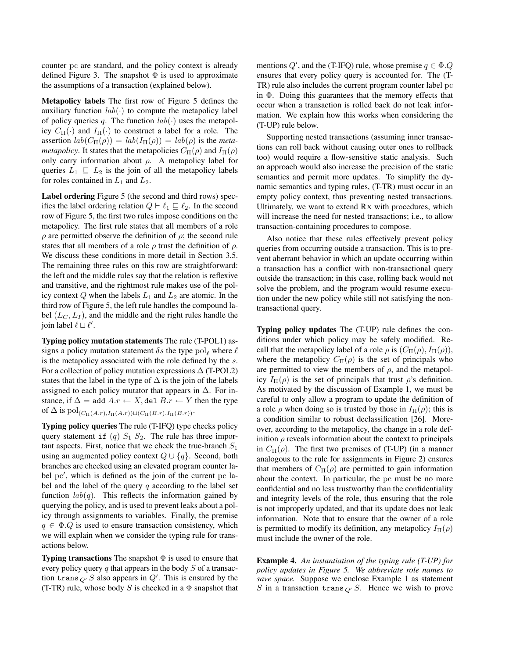counter pc are standard, and the policy context is already defined Figure 3. The snapshot  $\Phi$  is used to approximate the assumptions of a transaction (explained below).

Metapolicy labels The first row of Figure 5 defines the auxiliary function  $lab(.)$  to compute the metapolicy label of policy queries q. The function  $lab(\cdot)$  uses the metapolicy  $C_{\Pi}(\cdot)$  and  $I_{\Pi}(\cdot)$  to construct a label for a role. The assertion  $lab(C_{\Pi}(\rho)) = lab(I_{\Pi}(\rho)) = lab(\rho)$  is the *metametapolicy*. It states that the metapolicies  $C_{\Pi}(\rho)$  and  $I_{\Pi}(\rho)$ only carry information about  $\rho$ . A metapolicy label for queries  $L_1 \subseteq L_2$  is the join of all the metapolicy labels for roles contained in  $L_1$  and  $L_2$ .

Label ordering Figure 5 (the second and third rows) specifies the label ordering relation  $Q \vdash \ell_1 \sqsubseteq \ell_2$ . In the second row of Figure 5, the first two rules impose conditions on the metapolicy. The first rule states that all members of a role  $\rho$  are permitted observe the definition of  $\rho$ ; the second rule states that all members of a role  $\rho$  trust the definition of  $\rho$ . We discuss these conditions in more detail in Section 3.5. The remaining three rules on this row are straightforward: the left and the middle rules say that the relation is reflexive and transitive, and the rightmost rule makes use of the policy context Q when the labels  $L_1$  and  $L_2$  are atomic. In the third row of Figure 5, the left rule handles the compound label  $(L_C, L_I)$ , and the middle and the right rules handle the join label  $\ell \sqcup \ell'$ .

Typing policy mutation statements The rule (T-POL1) assigns a policy mutation statement  $\delta s$  the type pol<sub>e</sub> where  $\ell$ is the metapolicy associated with the role defined by the s. For a collection of policy mutation expressions  $\Delta$  (T-POL2) states that the label in the type of  $\Delta$  is the join of the labels assigned to each policy mutator that appears in  $\Delta$ . For instance, if  $\Delta =$  add  $A.r \leftarrow X$ , del  $B.r \leftarrow Y$  then the type of  $\Delta$  is  $pol_{(C_{\Pi}(A.r),I_{\Pi}(A.r))\sqcup(C_{\Pi}(B.r),I_{\Pi}(B.r))}$ .

Typing policy queries The rule (T-IFQ) type checks policy query statement if  $(q)$   $S_1$   $S_2$ . The rule has three important aspects. First, notice that we check the true-branch  $S_1$ using an augmented policy context  $Q \cup \{q\}$ . Second, both branches are checked using an elevated program counter label pc', which is defined as the join of the current pc label and the label of the query  $q$  according to the label set function  $lab(q)$ . This reflects the information gained by querying the policy, and is used to prevent leaks about a policy through assignments to variables. Finally, the premise  $q \in \Phi. Q$  is used to ensure transaction consistency, which we will explain when we consider the typing rule for transactions below.

**Typing transactions** The snapshot  $\Phi$  is used to ensure that every policy query q that appears in the body  $S$  of a transaction trans  $_{Q'} S$  also appears in  $Q'$ . This is ensured by the (T-TR) rule, whose body S is checked in a  $\Phi$  snapshot that

mentions  $Q'$ , and the (T-IFQ) rule, whose premise  $q \in \Phi. Q$ ensures that every policy query is accounted for. The (T-TR) rule also includes the current program counter label pc in Φ. Doing this guarantees that the memory effects that occur when a transaction is rolled back do not leak information. We explain how this works when considering the (T-UP) rule below.

Supporting nested transactions (assuming inner transactions can roll back without causing outer ones to rollback too) would require a flow-sensitive static analysis. Such an approach would also increase the precision of the static semantics and permit more updates. To simplify the dynamic semantics and typing rules, (T-TR) must occur in an empty policy context, thus preventing nested transactions. Ultimately, we want to extend RX with procedures, which will increase the need for nested transactions; i.e., to allow transaction-containing procedures to compose.

Also notice that these rules effectively prevent policy queries from occurring outside a transaction. This is to prevent aberrant behavior in which an update occurring within a transaction has a conflict with non-transactional query outside the transaction; in this case, rolling back would not solve the problem, and the program would resume execution under the new policy while still not satisfying the nontransactional query.

Typing policy updates The (T-UP) rule defines the conditions under which policy may be safely modified. Recall that the metapolicy label of a role  $\rho$  is  $(C_{\Pi}(\rho), I_{\Pi}(\rho)),$ where the metapolicy  $C_{\Pi}(\rho)$  is the set of principals who are permitted to view the members of  $\rho$ , and the metapolicy  $I_{\Pi}(\rho)$  is the set of principals that trust  $\rho$ 's definition. As motivated by the discussion of Example 1, we must be careful to only allow a program to update the definition of a role  $\rho$  when doing so is trusted by those in  $I_{\Pi}(\rho)$ ; this is a condition similar to robust declassification [26]. Moreover, according to the metapolicy, the change in a role definition  $\rho$  reveals information about the context to principals in  $C_{\Pi}(\rho)$ . The first two premises of (T-UP) (in a manner analogous to the rule for assignments in Figure 2) ensures that members of  $C_{\Pi}(\rho)$  are permitted to gain information about the context. In particular, the pc must be no more confidential and no less trustworthy than the confidentiality and integrity levels of the role, thus ensuring that the role is not improperly updated, and that its update does not leak information. Note that to ensure that the owner of a role is permitted to modify its definition, any metapolicy  $I_{\Pi}(\rho)$ must include the owner of the role.

Example 4. *An instantiation of the typing rule (T-UP) for policy updates in Figure 5. We abbreviate role names to save space.* Suppose we enclose Example 1 as statement S in a transaction trans  $_{Q'}$  S. Hence we wish to prove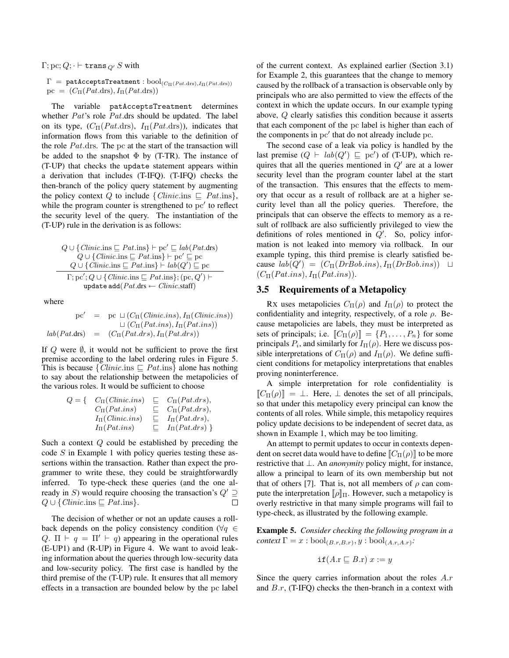$\Gamma; \text{pc}; Q; \cdot \vdash \text{trans}_{Q'} S$  with

 $\Gamma = \texttt{pathCceptsTreatment}: \text{bool}_{(C_{\Pi}(Pat.\text{drs}), I_{\Pi}(Pat.\text{drs}))}$  $pc = (C_{\Pi}(Pat \cdot dr\cdot s), I_{\Pi}(Pat \cdot dr\cdot s))$ 

The variable patAcceptsTreatment determines whether *Pat's* role *Pat*.drs should be updated. The label on its type,  $(C_{\Pi}(Pat \cdot \text{drs}), I_{\Pi}(Pat \cdot \text{drs}))$ , indicates that information flows from this variable to the definition of the role Pat.drs. The pc at the start of the transaction will be added to the snapshot  $\Phi$  by (T-TR). The instance of (T-UP) that checks the update statement appears within a derivation that includes (T-IFQ). (T-IFQ) checks the then-branch of the policy query statement by augmenting the policy context Q to include  $\{Clinic.\text{ins } \sqsubseteq \text{Pat}.\text{ins}\},\$ while the program counter is strengthened to  $pc'$  to reflect the security level of the query. The instantiation of the (T-UP) rule in the derivation is as follows:

$$
Q \cup \{ \text{Clinic}.\text{ins} \sqsubseteq \text{Pat}.\text{ins} \} \vdash \text{pc}' \sqsubseteq \text{lab}(\text{Pat}.\text{drs})
$$
  
\n
$$
Q \cup \{ \text{Clinci}.\text{ins} \sqsubseteq \text{Pat}.\text{ins} \} \vdash \text{pc}' \sqsubseteq \text{pc}
$$
  
\n
$$
Q \cup \{ \text{Clinci}.\text{ins} \sqsubseteq \text{Pat}.\text{ins} \} \vdash \text{lab}(Q') \sqsubseteq \text{pc}
$$
  
\n
$$
\Gamma; \text{pc'}; Q \cup \{ \text{Clinci}.\text{ins} \sqsubseteq \text{Pat}.\text{ins} \}; (\text{pc}, Q') \vdash
$$
  
\nupdate add( $\text{Pat}.\text{drs} \leftarrow \text{Clinci}.\text{staff})$ 

where

$$
pc' = pc \sqcup (C_{\Pi}(Clinic.ins), I_{\Pi}(Clinic.ins))
$$
  

$$
\sqcup (C_{\Pi}(Pat.ins), I_{\Pi}(Pat.ins))
$$
  

$$
lab(Pat.drs) = (C_{\Pi}(Pat.drs), I_{\Pi}(Pat.drs))
$$

If  $Q$  were  $\emptyset$ , it would not be sufficient to prove the first premise according to the label ordering rules in Figure 5. This is because  $\{Clinic.\text{ins} \sqsubset Pat.\text{ins}\}\$  alone has nothing to say about the relationship between the metapolicies of the various roles. It would be sufficient to choose

$$
Q = \begin{cases} C_{\Pi}(Clinic.ins) & \sqsubseteq C_{\Pi}(Pat.drs), \\ C_{\Pi}(Pat.ins) & \sqsubseteq C_{\Pi}(Pat.drs), \\ I_{\Pi}(Clinic.ins) & \sqsubseteq I_{\Pi}(Pat.drs), \\ I_{\Pi}(Pat.ins) & \sqsubseteq I_{\Pi}(Pat.drs) \end{cases}
$$

Such a context Q could be established by preceding the code S in Example 1 with policy queries testing these assertions within the transaction. Rather than expect the programmer to write these, they could be straightforwardly inferred. To type-check these queries (and the one already in S) would require choosing the transaction's  $Q' \supseteq$  $Q \cup \{Clinic.\text{ins} \sqsubseteq Pat.\text{ins}\}.$  $\Box$ 

The decision of whether or not an update causes a rollback depends on the policy consistency condition ( $\forall q \in$ Q.  $\Pi \vdash q = \Pi' \vdash q$  appearing in the operational rules (E-UP1) and (R-UP) in Figure 4. We want to avoid leaking information about the queries through low-security data and low-security policy. The first case is handled by the third premise of the (T-UP) rule. It ensures that all memory effects in a transaction are bounded below by the pc label of the current context. As explained earlier (Section 3.1) for Example 2, this guarantees that the change to memory caused by the rollback of a transaction is observable only by principals who are also permitted to view the effects of the context in which the update occurs. In our example typing above, Q clearly satisfies this condition because it asserts that each component of the pc label is higher than each of the components in pc' that do not already include pc.

The second case of a leak via policy is handled by the last premise  $(Q \vdash lab(Q') \sqsubseteq pc')$  of (T-UP), which requires that all the queries mentioned in  $Q'$  are at a lower security level than the program counter label at the start of the transaction. This ensures that the effects to memory that occur as a result of rollback are at a higher security level than all the policy queries. Therefore, the principals that can observe the effects to memory as a result of rollback are also sufficiently privileged to view the definitions of roles mentioned in  $Q'$ . So, policy information is not leaked into memory via rollback. In our example typing, this third premise is clearly satisfied because  $lab(Q') = (C_{\Pi}(DrBob.ins), I_{\Pi}(DrBob.ins)) \square$  $(C_{\Pi}(Pat.ins), I_{\Pi}(Pat.ins)).$ 

## 3.5 Requirements of a Metapolicy

RX uses metapolicies  $C_{\Pi}(\rho)$  and  $I_{\Pi}(\rho)$  to protect the confidentiality and integrity, respectively, of a role  $\rho$ . Because metapolicies are labels, they must be interpreted as sets of principals; i.e.  $[\![C_{\Pi}(\rho)]\!] = \{P_1, \ldots, P_n\}$  for some principals  $P_i$ , and similarly for  $I_{\Pi}(\rho)$ . Here we discuss possible interpretations of  $C_{\Pi}(\rho)$  and  $I_{\Pi}(\rho)$ . We define sufficient conditions for metapolicy interpretations that enables proving noninterference.

A simple interpretation for role confidentiality is  $[[C_{\Pi}(\rho)]] = \perp$ . Here,  $\perp$  denotes the set of all principals, so that under this metapolicy every principal can know the contents of all roles. While simple, this metapolicy requires policy update decisions to be independent of secret data, as shown in Example 1, which may be too limiting.

An attempt to permit updates to occur in contexts dependent on secret data would have to define  $\llbracket C_{\Pi}(\rho) \rrbracket$  to be more restrictive that ⊥. An *anonymity* policy might, for instance, allow a principal to learn of its own membership but not that of others [7]. That is, not all members of  $\rho$  can compute the interpretation  $[\![\rho]\!]$ <sub>Π</sub>. However, such a metapolicy is overly restrictive in that many simple programs will fail to type-check, as illustrated by the following example.

Example 5. *Consider checking the following program in a*  $context \Gamma = x : \text{bool}_{(B.r,B.r)}, y : \text{bool}_{(A.r,A.r)}$ :

$$
\texttt{if}(A.\texttt{r} \sqsubseteq B.\texttt{r}) \ x := y
$$

Since the query carries information about the roles A.r and  $B.r$ , (T-IFQ) checks the then-branch in a context with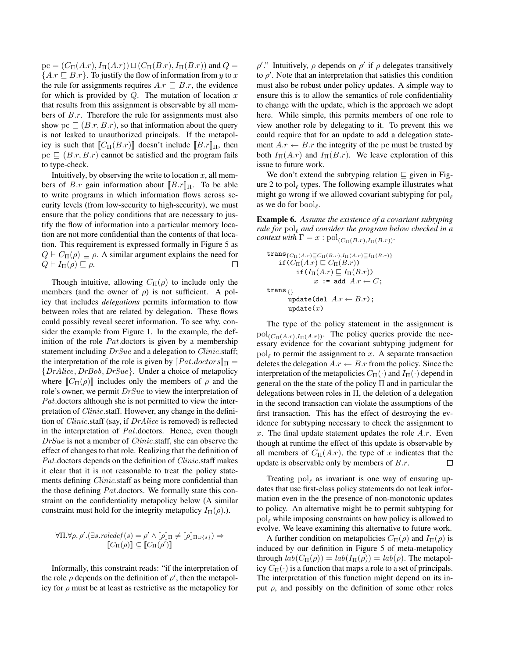$pc = (C_{\Pi}(A.r), I_{\Pi}(A.r)) \sqcup (C_{\Pi}(B.r), I_{\Pi}(B.r))$  and  $Q =$  ${A.r \sqsubseteq B.r}.$  To justify the flow of information from y to x the rule for assignments requires  $A.r \sqsubseteq B.r$ , the evidence for which is provided by  $Q$ . The mutation of location x that results from this assignment is observable by all members of B.r. Therefore the rule for assignments must also show pc  $\Box$  (B.r, B.r), so that information about the query is not leaked to unauthorized principals. If the metapolicy is such that  $[[C_{\Pi}(B.r)]]$  doesn't include  $[[B.r]]_{\Pi}$ , then  $pc \sqsubseteq (B.r, B.r)$  cannot be satisfied and the program fails to type-check.

Intuitively, by observing the write to location  $x$ , all members of B.r gain information about  $[[B,r]]$ Π. To be able to write programs in which information flows across security levels (from low-security to high-security), we must ensure that the policy conditions that are necessary to justify the flow of information into a particular memory location are not more confidential than the contents of that location. This requirement is expressed formally in Figure 5 as  $Q \vdash C_{\Pi}(\rho) \sqsubseteq \rho$ . A similar argument explains the need for  $Q \vdash I_{\Pi}(\rho) \sqsubseteq \rho.$  $\Box$ 

Though intuitive, allowing  $C_{\Pi}(\rho)$  to include only the members (and the owner of  $\rho$ ) is not sufficient. A policy that includes *delegations* permits information to flow between roles that are related by delegation. These flows could possibly reveal secret information. To see why, consider the example from Figure 1. In the example, the definition of the role *Pat*.doctors is given by a membership statement including  $DrSue$  and a delegation to *Clinic*.staff; the interpretation of the role is given by  $[Pat.doctors]_\Pi =$ {DrAlice, DrBob, DrSue}. Under a choice of metapolicy where  $\llbracket C_{\Pi}(\rho) \rrbracket$  includes only the members of  $\rho$  and the role's owner, we permit  $DrSue$  to view the interpretation of Pat.doctors although she is not permitted to view the interpretation of *Clinic*.staff. However, any change in the definition of Clinic.staff (say, if DrAlice is removed) is reflected in the interpretation of Pat.doctors. Hence, even though DrSue is not a member of *Clinic*.staff, she can observe the effect of changes to that role. Realizing that the definition of Pat.doctors depends on the definition of *Clinic*.staff makes it clear that it is not reasonable to treat the policy statements defining *Clinic*.staff as being more confidential than the those defining *Pat*.doctors. We formally state this constraint on the confidentiality metapolicy below (A similar constraint must hold for the integrity metapolicy  $I_{\Pi}(\rho)$ .).

$$
\forall \Pi. \forall \rho, \rho'.(\exists s. \text{roledef}(s) = \rho' \land [\![\rho]\!]_{\Pi} \neq [\![\rho]\!]_{\Pi \cup \{s\}}) \Rightarrow
$$
  

$$
[\![C_{\Pi}(\rho)]\!] \subseteq [\![C_{\Pi}(\rho')]\!]
$$

Informally, this constraint reads: "if the interpretation of the role  $\rho$  depends on the definition of  $\rho'$ , then the metapolicy for  $\rho$  must be at least as restrictive as the metapolicy for

 $\rho'$ ." Intuitively,  $\rho$  depends on  $\rho'$  if  $\rho$  delegates transitively to  $\rho'$ . Note that an interpretation that satisfies this condition must also be robust under policy updates. A simple way to ensure this is to allow the semantics of role confidentiality to change with the update, which is the approach we adopt here. While simple, this permits members of one role to view another role by delegating to it. To prevent this we could require that for an update to add a delegation statement  $A.r \leftarrow B.r$  the integrity of the pc must be trusted by both  $I_{\Pi}(A.r)$  and  $I_{\Pi}(B.r)$ . We leave exploration of this issue to future work.

We don't extend the subtyping relation  $\sqsubseteq$  given in Figure 2 to  $pol_{\ell}$  types. The following example illustrates what might go wrong if we allowed covariant subtyping for  $pol_{\ell}$ as we do for  $bool<sub>\ell</sub>$ .

Example 6. *Assume the existence of a covariant subtyping rule for*  $pol<sub>ℓ</sub>$  *and consider the program below checked in a context with*  $\Gamma = x : \text{pol}_{(C_{\Pi}(B.r), I_{\Pi}(B.r))}$ .

$$
\begin{aligned}\n&\textbf{trans}_{\{C_{\Pi}(A.r)\sqsubseteq C_{\Pi}(B.r), I_{\Pi}(A.r)\sqsubseteq I_{\Pi}(B.r)\}}\\
&\textbf{if}(C_{\Pi}(A.r)\sqsubseteq C_{\Pi}(B.r))\\
&\textbf{if}(I_{\Pi}(A.r)\sqsubseteq I_{\Pi}(B.r))\\
&\textbf{if} \textbf{and} \textbf{and} \textbf{and} \textbf{and} \textbf{and} \textbf{and} \textbf{and} \textbf{and} \textbf{and} \textbf{and} \textbf{and} \textbf{and} \textbf{and} \textbf{and} \textbf{and} \textbf{and} \textbf{and} \textbf{and} \textbf{and} \textbf{and} \textbf{and} \textbf{and} \textbf{and} \textbf{and} \textbf{and} \textbf{and} \textbf{and} \textbf{and} \textbf{and} \textbf{and} \textbf{and} \textbf{and} \textbf{and} \textbf{and} \textbf{and} \textbf{and} \textbf{and} \textbf{and} \textbf{and} \textbf{and} \textbf{and} \textbf{and} \textbf{and} \textbf{and} \textbf{and} \textbf{and} \textbf{and} \textbf{and} \textbf{and} \textbf{and} \textbf{and} \textbf{and} \textbf{and} \textbf{and} \textbf{and} \textbf{and} \textbf{and} \textbf{and} \textbf{and} \textbf{and} \textbf{and} \textbf{and} \textbf{and} \textbf{and} \textbf{and} \textbf{and} \textbf{and} \textbf{and} \textbf{and} \textbf{and} \textbf{and} \textbf{and} \textbf{and} \textbf{and} \textbf{and} \textbf{and} \textbf{and} \textbf{and} \textbf{and} \textbf{and} \textbf{and} \textbf{and} \textbf{and} \textbf{and} \textbf{and} \textbf{and} \textbf{and} \textbf{and} \textbf{and} \textbf{and} \textbf{and} \textbf{and} \textbf{and} \textbf{and} \textbf{and} \textbf{and} \textbf{and} \textbf{and} \textbf{and} \textbf{and} \textbf{and} \textbf{and} \textbf{and} \textbf{and} \textbf{and} \textbf{and} \textbf{and} \textbf
$$

The type of the policy statement in the assignment is  $pol_{(C_{\Pi}(A.r),I_{\Pi}(A.r))}$ . The policy queries provide the necessary evidence for the covariant subtyping judgment for  $pol_{\ell}$  to permit the assignment to x. A separate transaction deletes the delegation  $A.r \leftarrow B.r$  from the policy. Since the interpretation of the metapolicies  $C_{\Pi}(\cdot)$  and  $I_{\Pi}(\cdot)$  depend in general on the the state of the policy Π and in particular the delegations between roles in  $\Pi$ , the deletion of a delegation in the second transaction can violate the assumptions of the first transaction. This has the effect of destroying the evidence for subtyping necessary to check the assignment to x. The final update statement updates the role  $A.r.$  Even though at runtime the effect of this update is observable by all members of  $C_{\Pi}(A.r)$ , the type of x indicates that the update is observable only by members of  $B.r.$  $\Box$ 

Treating  $pol_\ell$  as invariant is one way of ensuring updates that use first-class policy statements do not leak information even in the the presence of non-monotonic updates to policy. An alternative might be to permit subtyping for  $pol<sub>\ell</sub>$  while imposing constraints on how policy is allowed to evolve. We leave examining this alternative to future work.

A further condition on metapolicies  $C_{\Pi}(\rho)$  and  $I_{\Pi}(\rho)$  is induced by our definition in Figure 5 of meta-metapolicy through  $lab(C_{\Pi}(\rho)) = lab(I_{\Pi}(\rho)) = lab(\rho)$ . The metapolicy  $C_{\Pi}(\cdot)$  is a function that maps a role to a set of principals. The interpretation of this function might depend on its input  $\rho$ , and possibly on the definition of some other roles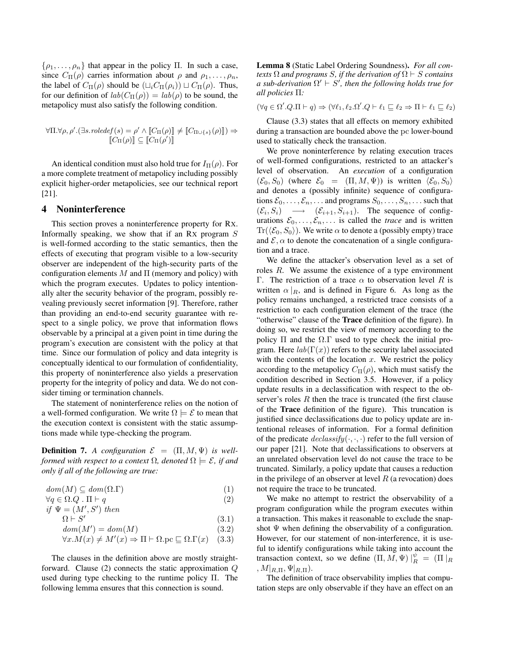$\{\rho_1, \ldots, \rho_n\}$  that appear in the policy Π. In such a case, since  $C_{\Pi}(\rho)$  carries information about  $\rho$  and  $\rho_1, \ldots, \rho_n$ , the label of  $C_{\Pi}(\rho)$  should be  $(L_i C_{\Pi}(\rho_i)) \sqcup C_{\Pi}(\rho)$ . Thus, for our definition of  $lab(C_{\Pi}(\rho)) = lab(\rho)$  to be sound, the metapolicy must also satisfy the following condition.

$$
\forall \Pi. \forall \rho, \rho'.(\exists s. \text{roledef}(s) = \rho' \land \llbracket C_{\Pi}(\rho) \rrbracket \neq \llbracket C_{\Pi \cup \{s\}}(\rho) \rrbracket) \Rightarrow \llbracket C_{\Pi}(\rho) \rrbracket \subseteq \llbracket C_{\Pi}(\rho') \rrbracket
$$

An identical condition must also hold true for  $I_{\Pi}(\rho)$ . For a more complete treatment of metapolicy including possibly explicit higher-order metapolicies, see our technical report [21].

### 4 Noninterference

This section proves a noninterference property for RX. Informally speaking, we show that if an RX program S is well-formed according to the static semantics, then the effects of executing that program visible to a low-security observer are independent of the high-security parts of the configuration elements  $M$  and  $\Pi$  (memory and policy) with which the program executes. Updates to policy intentionally alter the security behavior of the program, possibly revealing previously secret information [9]. Therefore, rather than providing an end-to-end security guarantee with respect to a single policy, we prove that information flows observable by a principal at a given point in time during the program's execution are consistent with the policy at that time. Since our formulation of policy and data integrity is conceptually identical to our formulation of confidentiality, this property of noninterference also yields a preservation property for the integrity of policy and data. We do not consider timing or termination channels.

The statement of noninterference relies on the notion of a well-formed configuration. We write  $\Omega \models \mathcal{E}$  to mean that the execution context is consistent with the static assumptions made while type-checking the program.

**Definition 7.** A configuration  $\mathcal{E} = (\Pi, M, \Psi)$  is well*formed with respect to a context*  $\Omega$ *, denoted*  $\Omega \models \mathcal{E}$ *, if and only if all of the following are true:*

$$
dom(M) \subseteq dom(\Omega.\Gamma) \tag{1}
$$

$$
\forall q \in \Omega. Q \quad \Pi \vdash q \tag{2}
$$

if 
$$
\Psi = (M', S')
$$
 then  
\n $\Omega \vdash S'$  (3.1)

$$
dom(M') = dom(M) \tag{3.2}
$$

$$
\forall x. M(x) \neq M'(x) \Rightarrow \Pi \vdash \Omega. \text{pc} \sqsubseteq \Omega. \Gamma(x) \quad (3.3)
$$

The clauses in the definition above are mostly straightforward. Clause (2) connects the static approximation Q used during type checking to the runtime policy Π. The following lemma ensures that this connection is sound.

Lemma 8 (Static Label Ordering Soundness). *For all contexts*  $\Omega$  *and programs* S, *if the derivation of*  $\Omega \vdash S$  *contains a sub-derivation*  $\Omega' \vdash S'$ , then the following holds true for *all policies* Π*:*

 $(\forall q \in \Omega'. Q.\Pi \vdash q) \Rightarrow (\forall \ell_1, \ell_2 \ldots \Omega'. Q \vdash \ell_1 \sqsubseteq \ell_2 \Rightarrow \Pi \vdash \ell_1 \sqsubseteq \ell_2)$ 

Clause (3.3) states that all effects on memory exhibited during a transaction are bounded above the pc lower-bound used to statically check the transaction.

We prove noninterference by relating execution traces of well-formed configurations, restricted to an attacker's level of observation. An *execution* of a configuration  $(\mathcal{E}_0, S_0)$  (where  $\mathcal{E}_0 = (\Pi, M, \Psi)$ ) is written  $\langle \mathcal{E}_0, S_0 \rangle$ and denotes a (possibly infinite) sequence of configurations  $\mathcal{E}_0, \ldots, \mathcal{E}_n, \ldots$  and programs  $S_0, \ldots, S_n, \ldots$  such that  $(\mathcal{E}_i, S_i) \longrightarrow (\mathcal{E}_{i+1}, S_{i+1})$ . The sequence of configurations  $\mathcal{E}_0, \ldots, \mathcal{E}_n, \ldots$  is called the *trace* and is written  $\text{Tr}(\langle \mathcal{E}_0, S_0 \rangle)$ . We write  $\alpha$  to denote a (possibly empty) trace and  $\mathcal{E}, \alpha$  to denote the concatenation of a single configuration and a trace.

We define the attacker's observation level as a set of roles  $R$ . We assume the existence of a type environment Γ. The restriction of a trace  $\alpha$  to observation level R is written  $\alpha|_R$ , and is defined in Figure 6. As long as the policy remains unchanged, a restricted trace consists of a restriction to each configuration element of the trace (the "otherwise" clause of the Trace definition of the figure). In doing so, we restrict the view of memory according to the policy  $\Pi$  and the  $\Omega.\Gamma$  used to type check the initial program. Here  $lab(\Gamma(x))$  refers to the security label associated with the contents of the location  $x$ . We restrict the policy according to the metapolicy  $C_{\Pi}(\rho)$ , which must satisfy the condition described in Section 3.5. However, if a policy update results in a declassification with respect to the observer's roles  $R$  then the trace is truncated (the first clause of the Trace definition of the figure). This truncation is justified since declassifications due to policy update are intentional releases of information. For a formal definition of the predicate  $declassify(\cdot, \cdot, \cdot)$  refer to the full version of our paper [21]. Note that declassifications to observers at an unrelated observation level do not cause the trace to be truncated. Similarly, a policy update that causes a reduction in the privilege of an observer at level  $R$  (a revocation) does not require the trace to be truncated.

We make no attempt to restrict the observability of a program configuration while the program executes within a transaction. This makes it reasonable to exclude the snapshot  $\Psi$  when defining the observability of a configuration. However, for our statement of non-interference, it is useful to identify configurations while taking into account the transaction context, so we define  $(\Pi, M, \Psi)|_R^{\psi} = (\Pi|_R)$  $, M|_{R,\Pi}, \Psi|_{R,\Pi}$ ).

The definition of trace observability implies that computation steps are only observable if they have an effect on an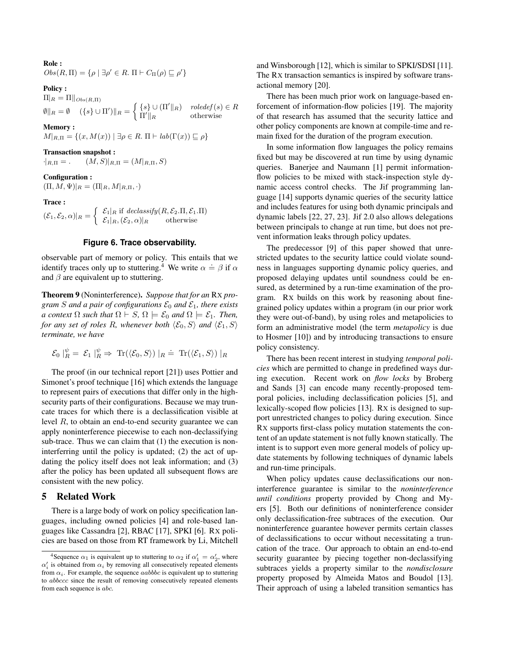Role :

 $Obs(R,\Pi) = \{\rho \mid \exists \rho' \in R. \Pi \vdash C_{\Pi}(\rho) \sqsubseteq \rho'\}\$ 

#### Policy :

 $\Pi_R = \Pi \big\|_{Obs(R,\Pi)}$  $\emptyset \|_{R} = \emptyset \quad (\{s\} \cup \Pi') \|_{R} = \begin{cases} \{s\} \cup (\Pi' \|_{R}) & \text{roledef}(s) \in R \\ \Pi' & \text{otherwise} \end{cases}$  $\Pi'\|_{R}$  otherwise

### Memory :

 $M|_{R,\Pi} = \{(x, M(x)) \mid \exists \rho \in R \colon \Pi \vdash lab(\Gamma(x)) \sqsubseteq \rho\}$ 

## Transaction snapshot :

 $\cdot|_{R,\Pi} =$ .  $(M, S)|_{R,\Pi} = (M|_{R,\Pi}, S)$ 

### Configuration :

 $(\Pi, M, \Psi)|_R = (\Pi|_R, M|_{R,\Pi}, \cdot)$ 

### Trace :

 $(\mathcal{E}_1, \mathcal{E}_2, \alpha)|_R = \begin{cases} \mathcal{E}_1|_R \text{ if } declassify(R, \mathcal{E}_2, \Pi, \mathcal{E}_1, \Pi) \\ \mathcal{E}_1 |_{(S, \alpha)} |_{(S, \alpha)} \text{ otherwise.} \end{cases}$  $\mathcal{E}_1|_R, (\mathcal{E}_2, \alpha)|_R$  otherwise

### **Figure 6. Trace observability.**

observable part of memory or policy. This entails that we identify traces only up to stuttering.<sup>4</sup> We write  $\alpha = \beta$  if  $\alpha$ and  $\beta$  are equivalent up to stuttering.

Theorem 9 (Noninterference). *Suppose that for an* RX *program S and a pair of configurations*  $\mathcal{E}_0$  *and*  $\mathcal{E}_1$ *, there exists a context*  $\Omega$  *such that*  $\Omega \vdash S$ ,  $\Omega \models \mathcal{E}_0$  *and*  $\Omega \models \mathcal{E}_1$ *. Then, for any set of roles* R, whenever both  $\langle \mathcal{E}_0, S \rangle$  *and*  $\langle \mathcal{E}_1, S \rangle$ *terminate, we have*

$$
\mathcal{E}_0 \mid_R^{\psi} \ = \ \mathcal{E}_1 \mid_R^{\psi} \ \Rightarrow \ \mathrm{Tr}(\langle \mathcal{E}_0, S \rangle) \mid_R \ \dot{=} \ \mathrm{Tr}(\langle \mathcal{E}_1, S \rangle) \mid_R
$$

The proof (in our technical report [21]) uses Pottier and Simonet's proof technique [16] which extends the language to represent pairs of executions that differ only in the highsecurity parts of their configurations. Because we may truncate traces for which there is a declassification visible at level R, to obtain an end-to-end security guarantee we can apply noninterference piecewise to each non-declassifying sub-trace. Thus we can claim that (1) the execution is noninterferring until the policy is updated; (2) the act of updating the policy itself does not leak information; and (3) after the policy has been updated all subsequent flows are consistent with the new policy.

## 5 Related Work

There is a large body of work on policy specification languages, including owned policies [4] and role-based languages like Cassandra [2], RBAC [17], SPKI [6]. RX policies are based on those from RT framework by Li, Mitchell and Winsborough [12], which is similar to SPKI/SDSI [11]. The RX transaction semantics is inspired by software transactional memory [20].

There has been much prior work on language-based enforcement of information-flow policies [19]. The majority of that research has assumed that the security lattice and other policy components are known at compile-time and remain fixed for the duration of the program execution.

In some information flow languages the policy remains fixed but may be discovered at run time by using dynamic queries. Banerjee and Naumann [1] permit informationflow policies to be mixed with stack-inspection style dynamic access control checks. The Jif programming language [14] supports dynamic queries of the security lattice and includes features for using both dynamic principals and dynamic labels [22, 27, 23]. Jif 2.0 also allows delegations between principals to change at run time, but does not prevent information leaks through policy updates.

The predecessor [9] of this paper showed that unrestricted updates to the security lattice could violate soundness in languages supporting dynamic policy queries, and proposed delaying updates until soundness could be ensured, as determined by a run-time examination of the program. RX builds on this work by reasoning about finegrained policy updates within a program (in our prior work they were out-of-band), by using roles and metapolicies to form an administrative model (the term *metapolicy* is due to Hosmer [10]) and by introducing transactions to ensure policy consistency.

There has been recent interest in studying *temporal policies* which are permitted to change in predefined ways during execution. Recent work on *flow locks* by Broberg and Sands [3] can encode many recently-proposed temporal policies, including declassification policies [5], and lexically-scoped flow policies [13]. RX is designed to support unrestricted changes to policy during execution. Since RX supports first-class policy mutation statements the content of an update statement is not fully known statically. The intent is to support even more general models of policy update statements by following techniques of dynamic labels and run-time principals.

When policy updates cause declassifications our noninterference guarantee is similar to the *noninterference until conditions* property provided by Chong and Myers [5]. Both our definitions of noninterference consider only declassification-free subtraces of the execution. Our noninterference guarantee however permits certain classes of declassifications to occur without necessitating a truncation of the trace. Our approach to obtain an end-to-end security guarantee by piecing together non-declassifying subtraces yields a property similar to the *nondisclosure* property proposed by Almeida Matos and Boudol [13]. Their approach of using a labeled transition semantics has

<sup>&</sup>lt;sup>4</sup>Sequence  $\alpha_1$  is equivalent up to stuttering to  $\alpha_2$  if  $\alpha'_1 = \alpha'_2$ , where  $\alpha'_{i}$  is obtained from  $\alpha_{i}$  by removing all consecutively repeated elements from  $\alpha_i$ . For example, the sequence *aabbbc* is equivalent up to stuttering to abbccc since the result of removing consecutively repeated elements from each sequence is abc.